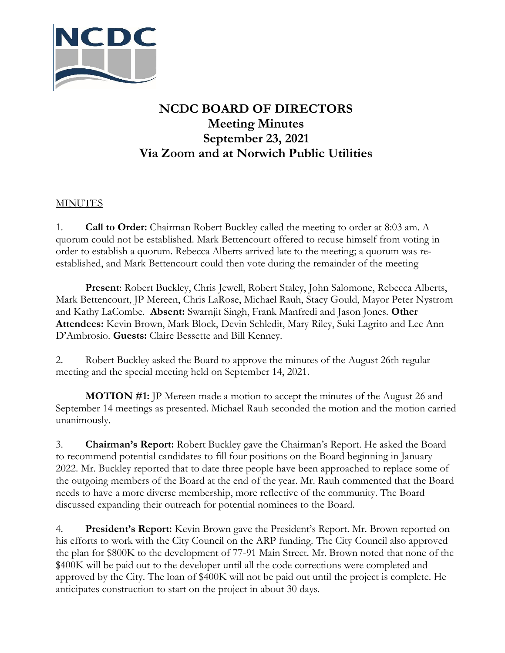

## **NCDC BOARD OF DIRECTORS Meeting Minutes September 23, 2021 Via Zoom and at Norwich Public Utilities**

## **MINUTES**

1. **Call to Order:** Chairman Robert Buckley called the meeting to order at 8:03 am. A quorum could not be established. Mark Bettencourt offered to recuse himself from voting in order to establish a quorum. Rebecca Alberts arrived late to the meeting; a quorum was reestablished, and Mark Bettencourt could then vote during the remainder of the meeting

**Present**: Robert Buckley, Chris Jewell, Robert Staley, John Salomone, Rebecca Alberts, Mark Bettencourt, JP Mereen, Chris LaRose, Michael Rauh, Stacy Gould, Mayor Peter Nystrom and Kathy LaCombe. **Absent:** Swarnjit Singh, Frank Manfredi and Jason Jones. **Other Attendees:** Kevin Brown, Mark Block, Devin Schledit, Mary Riley, Suki Lagrito and Lee Ann D'Ambrosio. **Guests:** Claire Bessette and Bill Kenney.

2. Robert Buckley asked the Board to approve the minutes of the August 26th regular meeting and the special meeting held on September 14, 2021.

**MOTION #1:** JP Mereen made a motion to accept the minutes of the August 26 and September 14 meetings as presented. Michael Rauh seconded the motion and the motion carried unanimously.

3. **Chairman's Report:** Robert Buckley gave the Chairman's Report. He asked the Board to recommend potential candidates to fill four positions on the Board beginning in January 2022. Mr. Buckley reported that to date three people have been approached to replace some of the outgoing members of the Board at the end of the year. Mr. Rauh commented that the Board needs to have a more diverse membership, more reflective of the community. The Board discussed expanding their outreach for potential nominees to the Board.

4. **President's Report:** Kevin Brown gave the President's Report. Mr. Brown reported on his efforts to work with the City Council on the ARP funding. The City Council also approved the plan for \$800K to the development of 77-91 Main Street. Mr. Brown noted that none of the \$400K will be paid out to the developer until all the code corrections were completed and approved by the City. The loan of \$400K will not be paid out until the project is complete. He anticipates construction to start on the project in about 30 days.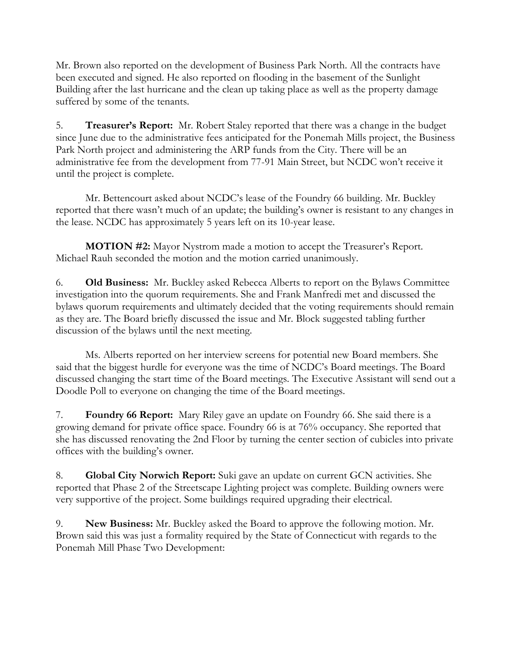Mr. Brown also reported on the development of Business Park North. All the contracts have been executed and signed. He also reported on flooding in the basement of the Sunlight Building after the last hurricane and the clean up taking place as well as the property damage suffered by some of the tenants.

5. **Treasurer's Report:** Mr. Robert Staley reported that there was a change in the budget since June due to the administrative fees anticipated for the Ponemah Mills project, the Business Park North project and administering the ARP funds from the City. There will be an administrative fee from the development from 77-91 Main Street, but NCDC won't receive it until the project is complete.

Mr. Bettencourt asked about NCDC's lease of the Foundry 66 building. Mr. Buckley reported that there wasn't much of an update; the building's owner is resistant to any changes in the lease. NCDC has approximately 5 years left on its 10-year lease.

**MOTION #2:** Mayor Nystrom made a motion to accept the Treasurer's Report. Michael Rauh seconded the motion and the motion carried unanimously.

6. **Old Business:** Mr. Buckley asked Rebecca Alberts to report on the Bylaws Committee investigation into the quorum requirements. She and Frank Manfredi met and discussed the bylaws quorum requirements and ultimately decided that the voting requirements should remain as they are. The Board briefly discussed the issue and Mr. Block suggested tabling further discussion of the bylaws until the next meeting.

Ms. Alberts reported on her interview screens for potential new Board members. She said that the biggest hurdle for everyone was the time of NCDC's Board meetings. The Board discussed changing the start time of the Board meetings. The Executive Assistant will send out a Doodle Poll to everyone on changing the time of the Board meetings.

7. **Foundry 66 Report:** Mary Riley gave an update on Foundry 66. She said there is a growing demand for private office space. Foundry 66 is at 76% occupancy. She reported that she has discussed renovating the 2nd Floor by turning the center section of cubicles into private offices with the building's owner.

8. **Global City Norwich Report:** Suki gave an update on current GCN activities. She reported that Phase 2 of the Streetscape Lighting project was complete. Building owners were very supportive of the project. Some buildings required upgrading their electrical.

9. **New Business:** Mr. Buckley asked the Board to approve the following motion. Mr. Brown said this was just a formality required by the State of Connecticut with regards to the Ponemah Mill Phase Two Development: